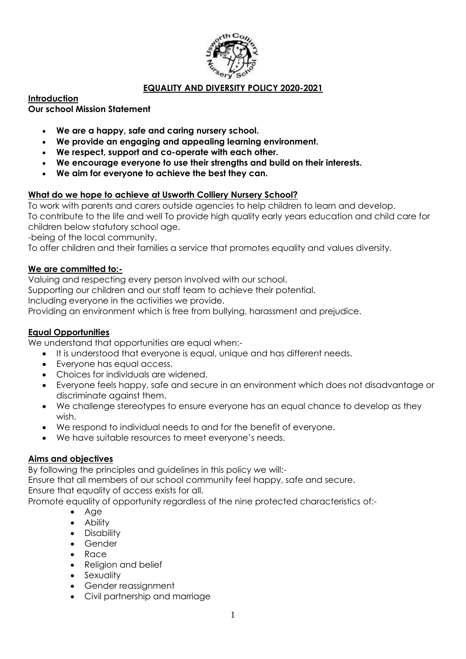

### **EQUALITY AND DIVERSITY POLICY 2020-2021**

### **Introduction**

#### **Our school Mission Statement**

- **We are a happy, safe and caring nursery school.**
- **We provide an engaging and appealing learning environment.**
- **We respect, support and co-operate with each other.**
- **We encourage everyone to use their strengths and build on their interests.**
- **We aim for everyone to achieve the best they can.**

### **What do we hope to achieve at Usworth Colliery Nursery School?**

To work with parents and carers outside agencies to help children to learn and develop. To contribute to the life and well To provide high quality early years education and child care for children below statutory school age.

-being of the local community.

To offer children and their families a service that promotes equality and values diversity.

#### **We are committed to:-**

Valuing and respecting every person involved with our school.

Supporting our children and our staff team to achieve their potential.

Including everyone in the activities we provide.

Providing an environment which is free from bullying, harassment and prejudice.

### **Equal Opportunities**

We understand that opportunities are equal when:-

- It is understood that everyone is equal, unique and has different needs.
- Everyone has equal access.
- Choices for individuals are widened.
- Everyone feels happy, safe and secure in an environment which does not disadvantage or discriminate against them.
- We challenge stereotypes to ensure everyone has an equal chance to develop as they wish.
- We respond to individual needs to and for the benefit of everyone.
- We have suitable resources to meet everyone's needs.

### **Aims and objectives**

By following the principles and guidelines in this policy we will:-

Ensure that all members of our school community feel happy, safe and secure.

Ensure that equality of access exists for all.

Promote equality of opportunity regardless of the nine protected characteristics of:-

- Age
- Ability
- Disability
- Gender
- Race
- Religion and belief
- Sexuality
- Gender reassignment
- Civil partnership and marriage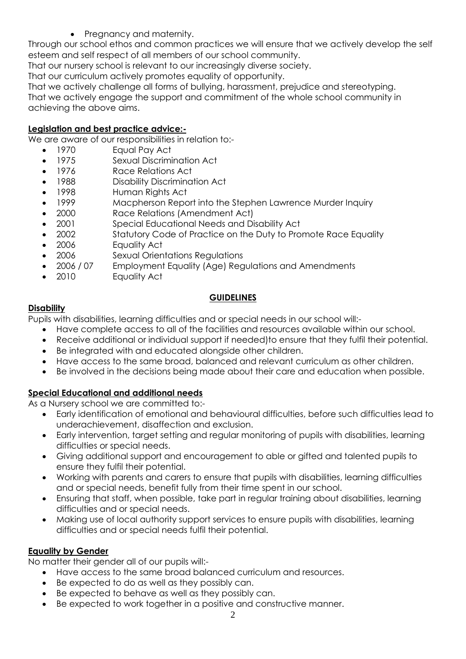• Pregnancy and maternity.

Through our school ethos and common practices we will ensure that we actively develop the self esteem and self respect of all members of our school community.

That our nursery school is relevant to our increasingly diverse society.

That our curriculum actively promotes equality of opportunity.

That we actively challenge all forms of bullying, harassment, prejudice and stereotyping. That we actively engage the support and commitment of the whole school community in achieving the above aims.

## **Legislation and best practice advice:-**

We are aware of our responsibilities in relation to:-

- 1970 Equal Pay Act
- 1975 Sexual Discrimination Act
- 1976 Race Relations Act
- 1988 Disability Discrimination Act
- 1998 Human Rights Act
- 1999 Macpherson Report into the Stephen Lawrence Murder Inquiry
- 2000 Race Relations (Amendment Act)
- 2001 Special Educational Needs and Disability Act
- 2002 Statutory Code of Practice on the Duty to Promote Race Equality
- 2006 Equality Act
- 2006 Sexual Orientations Regulations
- 2006 / 07 Employment Equality (Age) Regulations and Amendments
- 2010 Equality Act

# **GUIDELINES**

## **Disability**

Pupils with disabilities, learning difficulties and or special needs in our school will:-

- Have complete access to all of the facilities and resources available within our school.
- Receive additional or individual support if needed)to ensure that they fulfil their potential.
- Be integrated with and educated alongside other children.
- Have access to the same broad, balanced and relevant curriculum as other children.
- Be involved in the decisions being made about their care and education when possible.

# **Special Educational and additional needs**

As a Nursery school we are committed to:-

- Early identification of emotional and behavioural difficulties, before such difficulties lead to underachievement, disaffection and exclusion.
- Early intervention, target setting and regular monitoring of pupils with disabilities, learning difficulties or special needs.
- Giving additional support and encouragement to able or gifted and talented pupils to ensure they fulfil their potential.
- Working with parents and carers to ensure that pupils with disabilities, learning difficulties and or special needs, benefit fully from their time spent in our school.
- Ensuring that staff, when possible, take part in regular training about disabilities, learning difficulties and or special needs.
- Making use of local authority support services to ensure pupils with disabilities, learning difficulties and or special needs fulfil their potential.

# **Equality by Gender**

No matter their gender all of our pupils will:-

- Have access to the same broad balanced curriculum and resources.
- Be expected to do as well as they possibly can.
- Be expected to behave as well as they possibly can.
- Be expected to work together in a positive and constructive manner.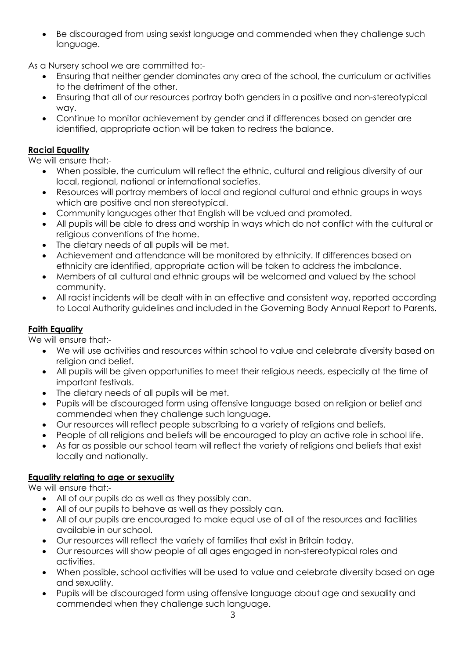Be discouraged from using sexist language and commended when they challenge such language.

As a Nursery school we are committed to:-

- Ensuring that neither gender dominates any area of the school, the curriculum or activities to the detriment of the other.
- Ensuring that all of our resources portray both genders in a positive and non-stereotypical way.
- Continue to monitor achievement by gender and if differences based on gender are identified, appropriate action will be taken to redress the balance.

## **Racial Equality**

We will ensure that:-

- When possible, the curriculum will reflect the ethnic, cultural and religious diversity of our local, regional, national or international societies.
- Resources will portray members of local and regional cultural and ethnic groups in ways which are positive and non stereotypical.
- Community languages other that English will be valued and promoted.
- All pupils will be able to dress and worship in ways which do not conflict with the cultural or religious conventions of the home.
- The dietary needs of all pupils will be met.
- Achievement and attendance will be monitored by ethnicity. If differences based on ethnicity are identified, appropriate action will be taken to address the imbalance.
- Members of all cultural and ethnic groups will be welcomed and valued by the school community.
- All racist incidents will be dealt with in an effective and consistent way, reported according to Local Authority guidelines and included in the Governing Body Annual Report to Parents.

## **Faith Equality**

We will ensure that:-

- We will use activities and resources within school to value and celebrate diversity based on religion and belief.
- All pupils will be given opportunities to meet their religious needs, especially at the time of important festivals.
- The dietary needs of all pupils will be met.
- Pupils will be discouraged form using offensive language based on religion or belief and commended when they challenge such language.
- Our resources will reflect people subscribing to a variety of religions and beliefs.
- People of all religions and beliefs will be encouraged to play an active role in school life.
- As far as possible our school team will reflect the variety of religions and beliefs that exist locally and nationally.

### **Equality relating to age or sexuality**

We will ensure that:-

- All of our pupils do as well as they possibly can.
- All of our pupils to behave as well as they possibly can.
- All of our pupils are encouraged to make equal use of all of the resources and facilities available in our school.
- Our resources will reflect the variety of families that exist in Britain today.
- Our resources will show people of all ages engaged in non-stereotypical roles and activities.
- When possible, school activities will be used to value and celebrate diversity based on age and sexuality.
- Pupils will be discouraged form using offensive language about age and sexuality and commended when they challenge such language.